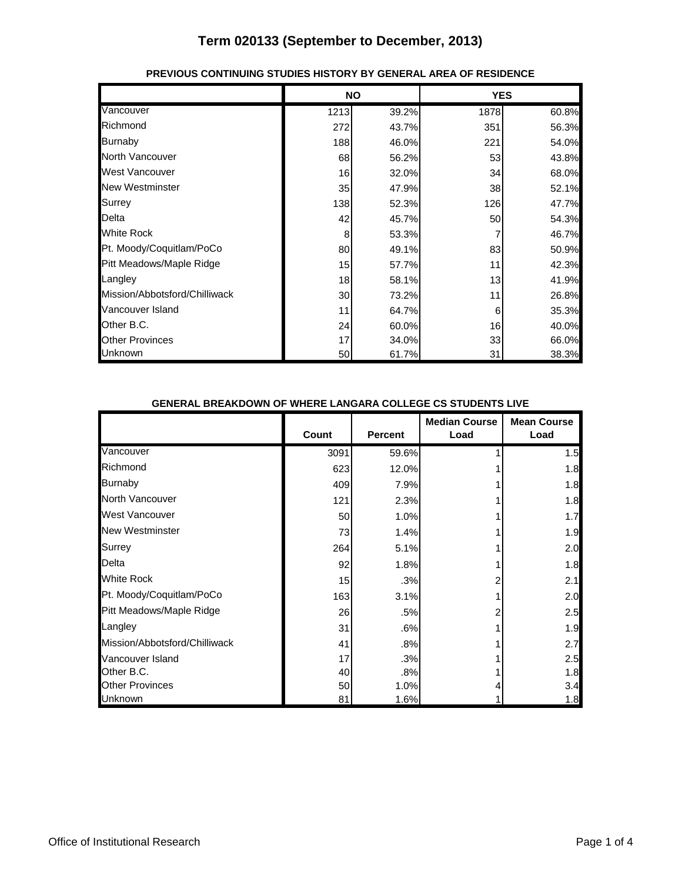|                               |      | <b>NO</b> | <b>YES</b> |       |
|-------------------------------|------|-----------|------------|-------|
| Vancouver                     | 1213 | 39.2%     | 1878       | 60.8% |
| Richmond                      | 272  | 43.7%     | 351        | 56.3% |
| <b>Burnaby</b>                | 188  | 46.0%     | 221        | 54.0% |
| <b>North Vancouver</b>        | 68   | 56.2%     | 53         | 43.8% |
| West Vancouver                | 16   | 32.0%     | 34         | 68.0% |
| <b>New Westminster</b>        | 35   | 47.9%     | 38         | 52.1% |
| <b>Surrey</b>                 | 138  | 52.3%     | 126        | 47.7% |
| Delta                         | 42   | 45.7%     | 50         | 54.3% |
| White Rock                    | 8    | 53.3%     |            | 46.7% |
| Pt. Moody/Coquitlam/PoCo      | 80   | 49.1%     | 83         | 50.9% |
| Pitt Meadows/Maple Ridge      | 15   | 57.7%     | 11         | 42.3% |
| Langley                       | 18   | 58.1%     | 13         | 41.9% |
| Mission/Abbotsford/Chilliwack | 30   | 73.2%     | 11         | 26.8% |
| Vancouver Island              | 11   | 64.7%     | 6          | 35.3% |
| Other B.C.                    | 24   | 60.0%     | 16         | 40.0% |
| <b>Other Provinces</b>        | 17   | 34.0%     | 33         | 66.0% |
| Unknown                       | 50   | 61.7%     | 31         | 38.3% |

#### **PREVIOUS CONTINUING STUDIES HISTORY BY GENERAL AREA OF RESIDENCE**

#### **GENERAL BREAKDOWN OF WHERE LANGARA COLLEGE CS STUDENTS LIVE**

|                               | Count | <b>Percent</b> | <b>Median Course</b><br>Load | <b>Mean Course</b><br>Load |
|-------------------------------|-------|----------------|------------------------------|----------------------------|
| Vancouver                     | 3091  | 59.6%          |                              | 1.5                        |
| Richmond                      | 623   | 12.0%          |                              | 1.8                        |
| <b>Burnaby</b>                | 409   | 7.9%           |                              | 1.8                        |
| North Vancouver               | 121   | 2.3%           |                              | 1.8                        |
| West Vancouver                | 50    | 1.0%           |                              | 1.7                        |
| <b>New Westminster</b>        | 73    | 1.4%           |                              | 1.9                        |
| Surrey                        | 264   | 5.1%           |                              | 2.0                        |
| Delta                         | 92    | 1.8%           |                              | 1.8                        |
| White Rock                    | 15    | .3%            |                              | 2.1                        |
| Pt. Moody/Coquitlam/PoCo      | 163   | 3.1%           |                              | 2.0                        |
| Pitt Meadows/Maple Ridge      | 26    | .5%            |                              | 2.5                        |
| Langley                       | 31    | .6%            |                              | 1.9                        |
| Mission/Abbotsford/Chilliwack | 41    | .8%            |                              | 2.7                        |
| Vancouver Island              | 17    | .3%            |                              | 2.5                        |
| Other B.C.                    | 40    | .8%            |                              | 1.8                        |
| <b>Other Provinces</b>        | 50    | 1.0%           |                              | 3.4                        |
| Unknown                       | 81    | 1.6%           |                              | 1.8                        |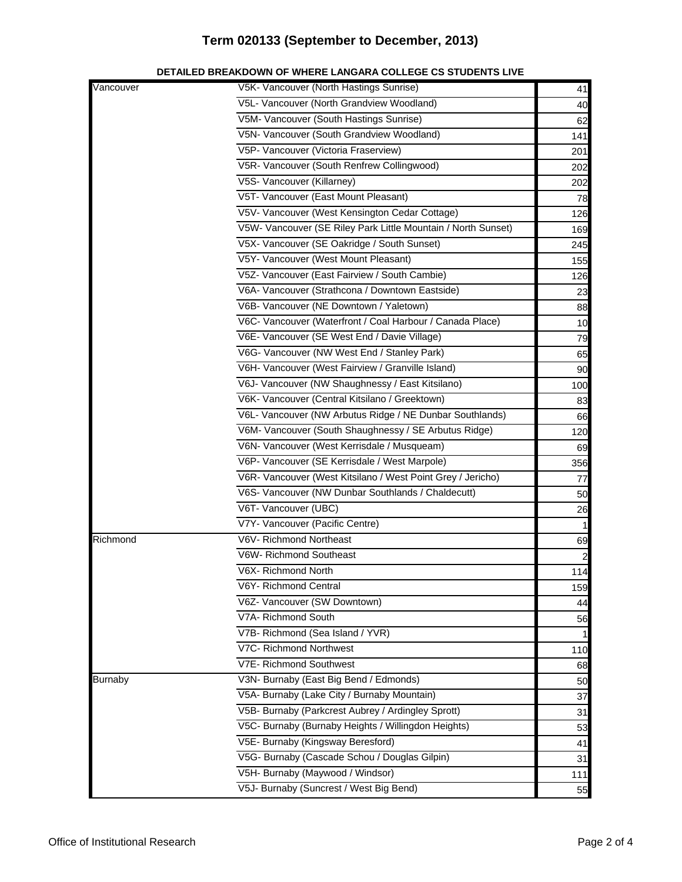| Vancouver      | V5K- Vancouver (North Hastings Sunrise)                       | 41  |
|----------------|---------------------------------------------------------------|-----|
|                | V5L- Vancouver (North Grandview Woodland)                     | 40  |
|                | V5M- Vancouver (South Hastings Sunrise)                       | 62  |
|                | V5N- Vancouver (South Grandview Woodland)                     | 141 |
|                | V5P- Vancouver (Victoria Fraserview)                          | 201 |
|                | V5R- Vancouver (South Renfrew Collingwood)                    | 202 |
|                | V5S- Vancouver (Killarney)                                    | 202 |
|                | V5T- Vancouver (East Mount Pleasant)                          | 78  |
|                | V5V- Vancouver (West Kensington Cedar Cottage)                | 126 |
|                | V5W- Vancouver (SE Riley Park Little Mountain / North Sunset) | 169 |
|                | V5X- Vancouver (SE Oakridge / South Sunset)                   | 245 |
|                | V5Y- Vancouver (West Mount Pleasant)                          | 155 |
|                | V5Z- Vancouver (East Fairview / South Cambie)                 | 126 |
|                | V6A- Vancouver (Strathcona / Downtown Eastside)               | 23  |
|                | V6B- Vancouver (NE Downtown / Yaletown)                       | 88  |
|                | V6C- Vancouver (Waterfront / Coal Harbour / Canada Place)     | 10  |
|                | V6E- Vancouver (SE West End / Davie Village)                  | 79  |
|                | V6G- Vancouver (NW West End / Stanley Park)                   | 65  |
|                | V6H- Vancouver (West Fairview / Granville Island)             | 90  |
|                | V6J- Vancouver (NW Shaughnessy / East Kitsilano)              | 100 |
|                | V6K- Vancouver (Central Kitsilano / Greektown)                | 83  |
|                | V6L- Vancouver (NW Arbutus Ridge / NE Dunbar Southlands)      | 66  |
|                | V6M- Vancouver (South Shaughnessy / SE Arbutus Ridge)         | 120 |
|                | V6N- Vancouver (West Kerrisdale / Musqueam)                   | 69  |
|                | V6P- Vancouver (SE Kerrisdale / West Marpole)                 | 356 |
|                | V6R- Vancouver (West Kitsilano / West Point Grey / Jericho)   | 77  |
|                | V6S- Vancouver (NW Dunbar Southlands / Chaldecutt)            | 50  |
|                | V6T- Vancouver (UBC)                                          | 26  |
|                | V7Y- Vancouver (Pacific Centre)                               |     |
| Richmond       | V6V- Richmond Northeast                                       | 69  |
|                | V6W- Richmond Southeast                                       |     |
|                | V6X- Richmond North                                           | 114 |
|                | V6Y- Richmond Central                                         | 159 |
|                | V6Z- Vancouver (SW Downtown)                                  | 44  |
|                | V7A- Richmond South                                           | 56  |
|                | V7B- Richmond (Sea Island / YVR)                              |     |
|                | V7C- Richmond Northwest                                       | 110 |
|                | V7E- Richmond Southwest                                       | 68  |
| <b>Burnaby</b> | V3N- Burnaby (East Big Bend / Edmonds)                        | 50  |
|                | V5A- Burnaby (Lake City / Burnaby Mountain)                   | 37  |
|                | V5B- Burnaby (Parkcrest Aubrey / Ardingley Sprott)            | 31  |
|                | V5C- Burnaby (Burnaby Heights / Willingdon Heights)           | 53  |
|                | V5E- Burnaby (Kingsway Beresford)                             | 41  |
|                | V5G- Burnaby (Cascade Schou / Douglas Gilpin)                 | 31  |
|                | V5H- Burnaby (Maywood / Windsor)                              | 111 |
|                | V5J- Burnaby (Suncrest / West Big Bend)                       | 55  |

#### **DETAILED BREAKDOWN OF WHERE LANGARA COLLEGE CS STUDENTS LIVE**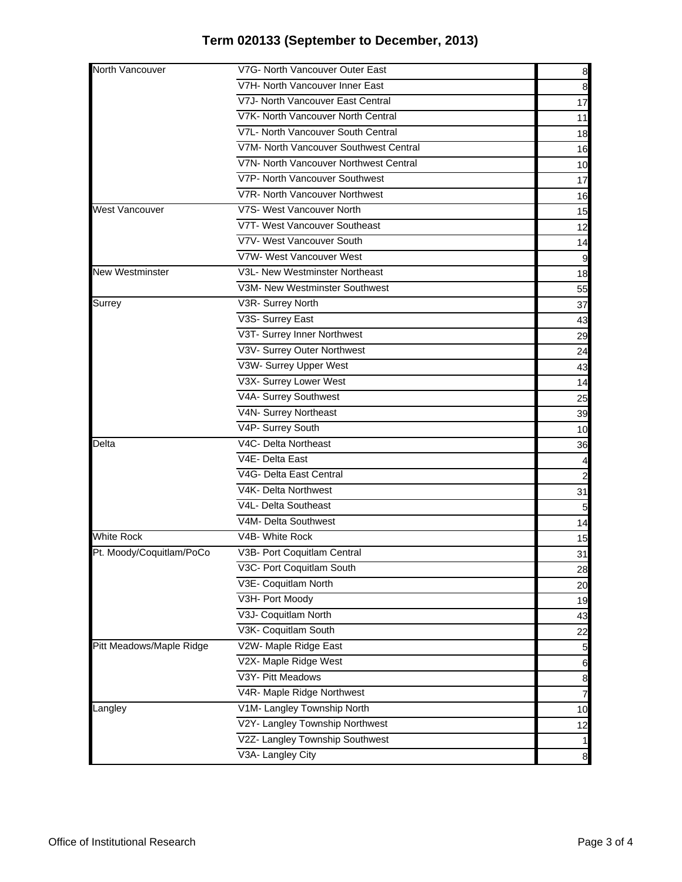| North Vancouver          | V7G- North Vancouver Outer East        | 8                |
|--------------------------|----------------------------------------|------------------|
|                          | V7H- North Vancouver Inner East        | 8                |
|                          | V7J- North Vancouver East Central      | 17               |
|                          | V7K- North Vancouver North Central     | 11               |
|                          | V7L- North Vancouver South Central     | 18               |
|                          | V7M- North Vancouver Southwest Central | 16               |
|                          | V7N- North Vancouver Northwest Central | 10               |
|                          | V7P- North Vancouver Southwest         | 17               |
|                          | V7R- North Vancouver Northwest         | 16               |
| <b>West Vancouver</b>    | V7S- West Vancouver North              | 15               |
|                          | V7T- West Vancouver Southeast          | 12               |
|                          | V7V- West Vancouver South              | 14               |
|                          | V7W- West Vancouver West               | 9                |
| <b>New Westminster</b>   | V3L- New Westminster Northeast         | 18               |
|                          | V3M- New Westminster Southwest         | 55               |
| Surrey                   | V3R- Surrey North                      | 37               |
|                          | V3S- Surrey East                       | 43               |
|                          | V3T- Surrey Inner Northwest            | 29               |
|                          | V3V- Surrey Outer Northwest            | 24               |
|                          | V3W- Surrey Upper West                 | 43               |
|                          | V3X- Surrey Lower West                 | 14               |
|                          | V4A- Surrey Southwest                  | 25               |
|                          | V4N- Surrey Northeast                  | 39               |
|                          | V4P- Surrey South                      | 10               |
| Delta                    | V4C- Delta Northeast                   | 36               |
|                          | V4E- Delta East                        |                  |
|                          | V4G- Delta East Central                | 2                |
|                          | V4K- Delta Northwest                   | 31               |
|                          | V4L- Delta Southeast                   | 5                |
|                          | V4M- Delta Southwest                   | 14               |
| <b>White Rock</b>        | V4B- White Rock                        | 15               |
| Pt. Moody/Coquitlam/PoCo | V3B- Port Coquitlam Central            | 31               |
|                          | V3C- Port Coquitlam South              | 28               |
|                          | V3E- Coquitlam North                   | 20               |
|                          | V3H- Port Moody                        | 19               |
|                          | V3J- Coquitlam North                   | 43               |
|                          | V3K- Coquitlam South                   | 22               |
| Pitt Meadows/Maple Ridge | V2W- Maple Ridge East                  | $\overline{5}$   |
|                          | V2X- Maple Ridge West                  | 6                |
|                          | V3Y- Pitt Meadows                      | $\boldsymbol{8}$ |
|                          | V4R- Maple Ridge Northwest             | $\overline{7}$   |
| Langley                  | V1M- Langley Township North            | 10               |
|                          | V2Y- Langley Township Northwest        | 12               |
|                          | V2Z- Langley Township Southwest        | $\mathbf{1}$     |
|                          | V3A- Langley City                      | $\boldsymbol{8}$ |
|                          |                                        |                  |